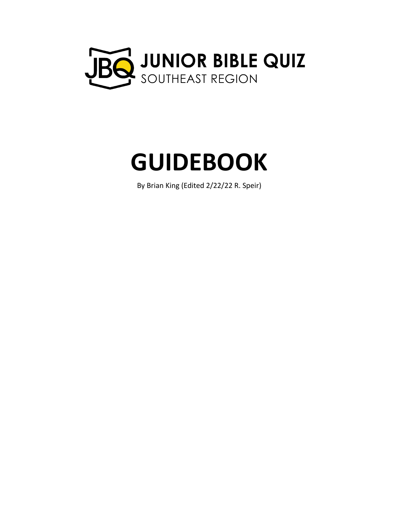

# **GUIDEBOOK**

By Brian King (Edited 2/22/22 R. Speir)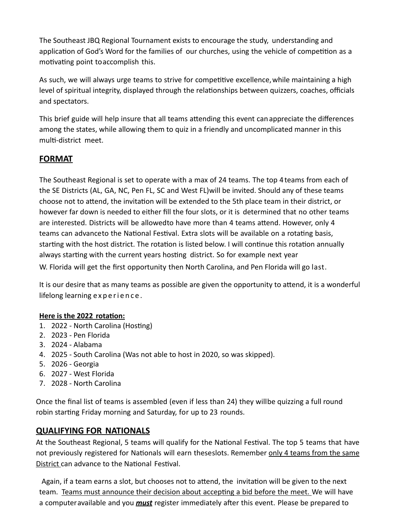The Southeast JBQ Regional Tournament exists to encourage the study, understanding and application of God's Word for the families of our churches, using the vehicle of competition as a motivating point toaccomplish this.

As such, we will always urge teams to strive for competitive excellence, while maintaining a high level of spiritual integrity, displayed through the relationships between quizzers, coaches, officials and spectators.

This brief guide will help insure that all teams attending this event can appreciate the differences among the states, while allowing them to quiz in a friendly and uncomplicated manner in this multi-district meet.

# **FORMAT**

The Southeast Regional is set to operate with a max of 24 teams. The top 4teams from each of the SE Districts (AL, GA, NC, Pen FL, SC and West FL)will be invited. Should any of these teams choose not to attend, the invitation will be extended to the 5th place team in their district, or however far down is needed to either fill the four slots, or it is determined that no other teams are interested. Districts will be allowedto have more than 4 teams attend. However, only 4 teams can advanceto the National Festival. Extra slots will be available on a rotating basis, starting with the host district. The rotation is listed below. I will continue this rotation annually always starting with the current years hosting district. So for example next year W. Florida will get the first opportunity then North Carolina, and Pen Florida will go last.

It is our desire that as many teams as possible are given the opportunity to attend, it is a wonderful lifelong learning experience.

## **Here is the 2022 rotation:**

- 1. 2022 North Carolina (Hosting)
- 2. 2023 Pen Florida
- 3. 2024 Alabama
- 4. 2025 South Carolina (Was not able to host in 2020, so was skipped).
- 5. 2026 Georgia
- 6. 2027 West Florida
- 7. 2028 North Carolina

Once the final list of teams is assembled (even if less than 24) they willbe quizzing a full round robin starting Friday morning and Saturday, for up to 23 rounds.

## **QUALIFYING FOR NATIONALS**

At the Southeast Regional, 5 teams will qualify for the National Festival. The top 5 teams that have not previously registered for Nationals will earn theseslots. Remember only 4 teams from the same District can advance to the National Festival.

Again, if a team earns a slot, but chooses not to attend, the invitation will be given to the next team. Teams must announce their decision about accepting a bid before the meet. We will have a computeravailable and you *must* register immediately after this event. Please be prepared to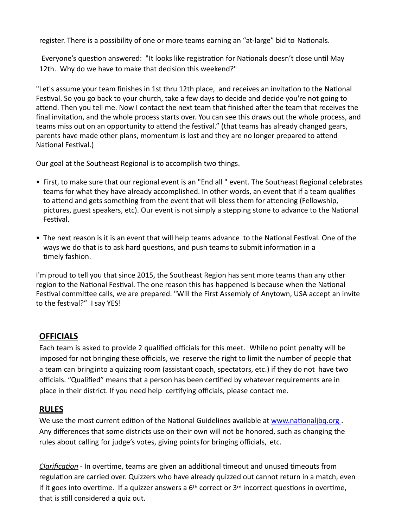register. There is a possibility of one or more teams earning an "at-large" bid to Nationals.

Everyone's question answered: "It looks like registration for Nationals doesn't close until May 12th. Why do we have to make that decision this weekend?"

"Let's assume your team finishes in 1st thru 12th place, and receives an invitation to the National Festival. So you go back to your church, take a few days to decide and decide you're not going to attend. Then you tell me. Now I contact the next team that finished after the team that receives the final invitation, and the whole process starts over. You can see this draws out the whole process, and teams miss out on an opportunity to attend the festival." (that teams has already changed gears, parents have made other plans, momentum is lost and they are no longer prepared to attend National Festival.)

Our goal at the Southeast Regional is to accomplish two things.

- First, to make sure that our regional event is an "End all " event. The Southeast Regional celebrates teams for what they have already accomplished. In other words, an event that if a team qualifies to attend and gets something from the event that will bless them for attending (Fellowship, pictures, guest speakers, etc). Our event is not simply a stepping stone to advance to the National Festival.
- The next reason is it is an event that will help teams advance to the National Festival. One of the ways we do that is to ask hard questions, and push teams to submit information in a timely fashion.

I'm proud to tell you that since 2015, the Southeast Region has sent more teams than any other region to the National Festival. The one reason this has happened Is because when the National Festival committee calls, we are prepared. "Will the First Assembly of Anytown, USA accept an invite to the festival?" I say YES!

## **OFFICIALS**

Each team is asked to provide 2 qualified officials for this meet. While no point penalty will be imposed for not bringing these officials, we reserve the right to limit the number of people that a team can bring into a quizzing room (assistant coach, spectators, etc.) if they do not have two officials. "Qualified" means that a person has been certified by whatever requirements are in place in their district. If you need help certifying officials, please contact me.

## **RULES**

We use the most current edition of the National Guidelines available at [www.nationaljbq.org](http://www.nationaljbq.org/). Any differences that some districts use on their own will not be honored, such as changing the rules about calling for judge's votes, giving points for bringing officials, etc.

*Clarification* - In overtime, teams are given an additional timeout and unused timeouts from regulation are carried over. Quizzers who have already quizzed out cannot return in a match, even if it goes into overtime. If a quizzer answers a  $6<sup>th</sup>$  correct or  $3<sup>rd</sup>$  incorrect questions in overtime, that is still considered a quiz out.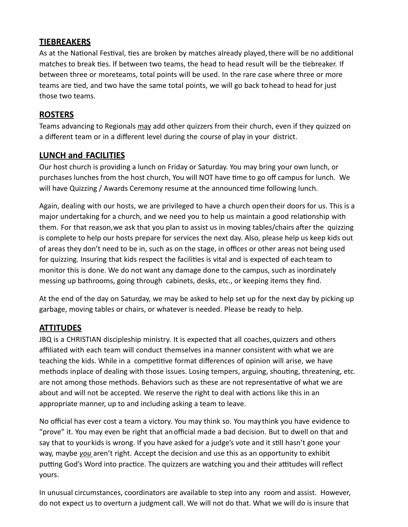## **TIEBREAKERS**

As at the National Festival, ties are broken by matches already played, there will be no additional matches to break ties. If between two teams, the head to head result will be the tiebreaker. If between three or moreteams, total points will be used. In the rare case where three or more teams are tied, and two have the same total points, we will go back to head to head for just those two teams.

## **ROSTERS**

Teams advancing to Regionals may add other quizzers from their church, even if they quizzed on a different team or in a different level during the course of play in your district.

# **LUNCH and FACILITIES**

Our host church is providing a lunch on Friday or Saturday. You may bring your own lunch, or purchases lunches from the host church, You will NOT have time to go off campus for lunch. We will have Quizzing / Awards Ceremony resume at the announced time following lunch.

Again, dealing with our hosts, we are privileged to have a church open their doors for us. This is a major undertaking for a church, and we need you to help us maintain a good relationship with them. For that reason, we ask that you plan to assist us in moving tables/chairs after the quizzing is complete to help our hosts prepare for services the next day. Also, please help us keep kids out of areas they don't need to be in, such as on the stage, in offices or other areas not being used for quizzing. Insuring that kids respect the facilities is vital and is expected of each team to monitor this is done. We do not want any damage done to the campus, such as inordinately messing up bathrooms, going through cabinets, desks, etc., or keeping items they find.

At the end of the day on Saturday, we may be asked to help set up for the next day by picking up garbage, moving tables or chairs, or whatever is needed. Please be ready to help.

# **ATTITUDES**

JBQ is a CHRISTIAN discipleship ministry. It is expected that all coaches,quizzers and others affiliated with each team will conduct themselves ina manner consistent with what we are teaching the kids. While in a competitive format differences of opinion will arise, we have methods inplace of dealing with those issues. Losing tempers, arguing, shouting, threatening, etc. are not among those methods. Behaviors such as these are not representative of what we are about and will not be accepted. We reserve the right to deal with actions like this in an appropriate manner, up to and including asking a team to leave.

No official has ever cost a team a victory. You may think so. You maythink you have evidence to "prove" it. You may even be right that anofficial made a bad decision. But to dwell on that and say that to your kids is wrong. If you have asked for a judge's vote and it still hasn't gone your way, maybe *you* aren't right. Accept the decision and use this as an opportunity to exhibit putting God's Word into practice. The quizzers are watching you and their attitudes will reflect yours.

In unusual circumstances, coordinators are available to step into any room and assist. However, do not expect us to overturn a judgment call. We will not do that. What we will do is insure that